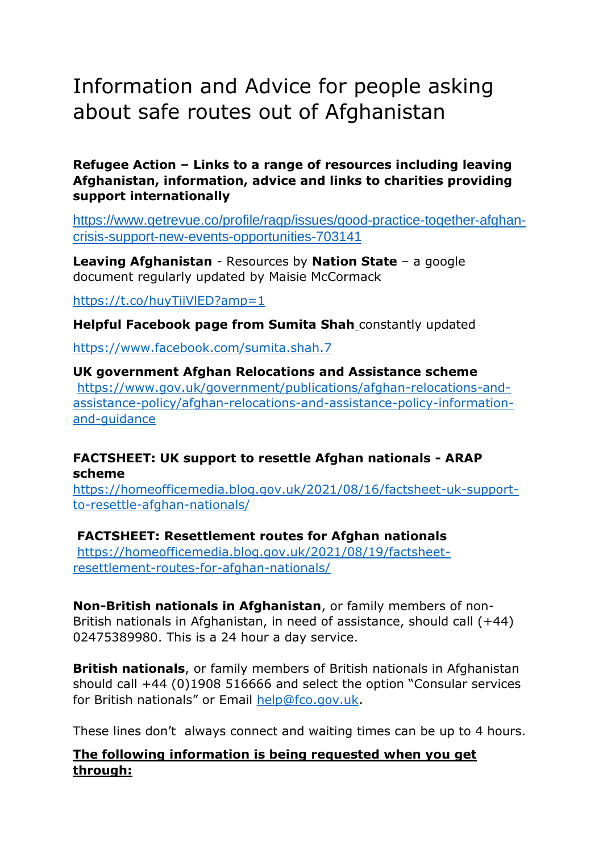# Information and Advice for people asking about safe routes out of Afghanistan

#### **Refugee Action – Links to a range of resources including leaving Afghanistan, information, advice and links to charities providing support internationally**

[https://www.getrevue.co/profile/ragp/issues/good-practice-together-afghan](https://www.getrevue.co/profile/ragp/issues/good-practice-together-afghan-crisis-support-new-events-opportunities-703141)[crisis-support-new-events-opportunities-703141](https://www.getrevue.co/profile/ragp/issues/good-practice-together-afghan-crisis-support-new-events-opportunities-703141)

**Leaving Afghanistan** - Resources by **Nation State** – a google document regularly updated by Maisie McCormack

<https://t.co/huyTiiVlED?amp=1>

**Helpful Facebook page from Sumita Shah** constantly updated

<https://www.facebook.com/sumita.shah.7>

#### **UK government Afghan Relocations and Assistance scheme** [https://www.gov.uk/government/publications/afghan-relocations-and](https://www.gov.uk/government/publications/afghan-relocations-and-assistance-policy/afghan-relocations-and-assistance-policy-information-and-guidance)[assistance-policy/afghan-relocations-and-assistance-policy-information](https://www.gov.uk/government/publications/afghan-relocations-and-assistance-policy/afghan-relocations-and-assistance-policy-information-and-guidance)[and-guidance](https://www.gov.uk/government/publications/afghan-relocations-and-assistance-policy/afghan-relocations-and-assistance-policy-information-and-guidance)

# **FACTSHEET: UK support to resettle Afghan nationals - ARAP scheme**

[https://homeofficemedia.blog.gov.uk/2021/08/16/factsheet-uk-support](https://homeofficemedia.blog.gov.uk/2021/08/16/factsheet-uk-support-to-resettle-afghan-nationals/)[to-resettle-afghan-nationals/](https://homeofficemedia.blog.gov.uk/2021/08/16/factsheet-uk-support-to-resettle-afghan-nationals/)

## **FACTSHEET: Resettlement routes for Afghan nationals**

[https://homeofficemedia.blog.gov.uk/2021/08/19/factsheet](https://homeofficemedia.blog.gov.uk/2021/08/19/factsheet-resettlement-routes-for-afghan-nationals/)[resettlement-routes-for-afghan-nationals/](https://homeofficemedia.blog.gov.uk/2021/08/19/factsheet-resettlement-routes-for-afghan-nationals/)

**Non-British nationals in Afghanistan**, or family members of non-British nationals in Afghanistan, in need of assistance, should call (+44) 02475389980. This is a 24 hour a day service.

**British nationals**, or family members of British nationals in Afghanistan should call +44 (0)1908 516666 and select the option "Consular services for British nationals" or Email [help@fco.gov.uk.](mailto:help@fco.gov.uk)

These lines don't always connect and waiting times can be up to 4 hours.

# **The following information is being requested when you get through:**